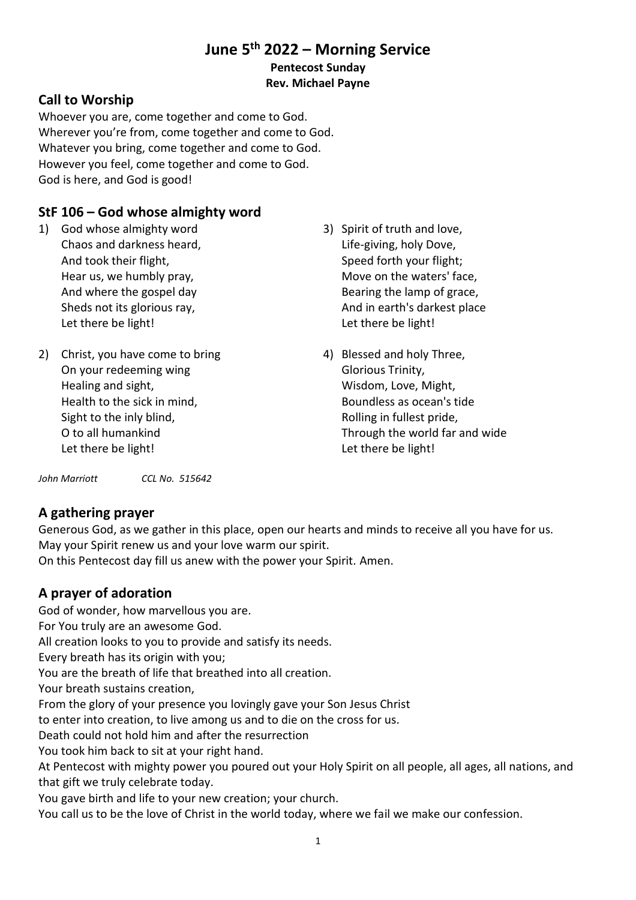# **June 5th 2022 – Morning Service Pentecost Sunday**

### **Rev. Michael Payne**

### **Call to Worship**

Whoever you are, come together and come to God. Wherever you're from, come together and come to God. Whatever you bring, come together and come to God. However you feel, come together and come to God. God is here, and God is good!

# **StF 106 – God whose almighty word**

- 1) God whose almighty word Chaos and darkness heard, And took their flight, Hear us, we humbly pray, And where the gospel day Sheds not its glorious ray, Let there be light!
- 2) Christ, you have come to bring On your redeeming wing Healing and sight, Health to the sick in mind, Sight to the inly blind, O to all humankind Let there be light!
- 3) Spirit of truth and love, Life-giving, holy Dove, Speed forth your flight; Move on the waters' face, Bearing the lamp of grace, And in earth's darkest place Let there be light!
- 4) Blessed and holy Three, Glorious Trinity, Wisdom, Love, Might, Boundless as ocean's tide Rolling in fullest pride, Through the world far and wide Let there be light!

*John Marriott CCL No. 515642*

### **A gathering prayer**

Generous God, as we gather in this place, open our hearts and minds to receive all you have for us. May your Spirit renew us and your love warm our spirit.

On this Pentecost day fill us anew with the power your Spirit. Amen.

# **A prayer of adoration**

God of wonder, how marvellous you are.

For You truly are an awesome God.

All creation looks to you to provide and satisfy its needs.

Every breath has its origin with you;

You are the breath of life that breathed into all creation.

Your breath sustains creation,

From the glory of your presence you lovingly gave your Son Jesus Christ

to enter into creation, to live among us and to die on the cross for us.

Death could not hold him and after the resurrection

You took him back to sit at your right hand.

At Pentecost with mighty power you poured out your Holy Spirit on all people, all ages, all nations, and that gift we truly celebrate today.

You gave birth and life to your new creation; your church.

You call us to be the love of Christ in the world today, where we fail we make our confession.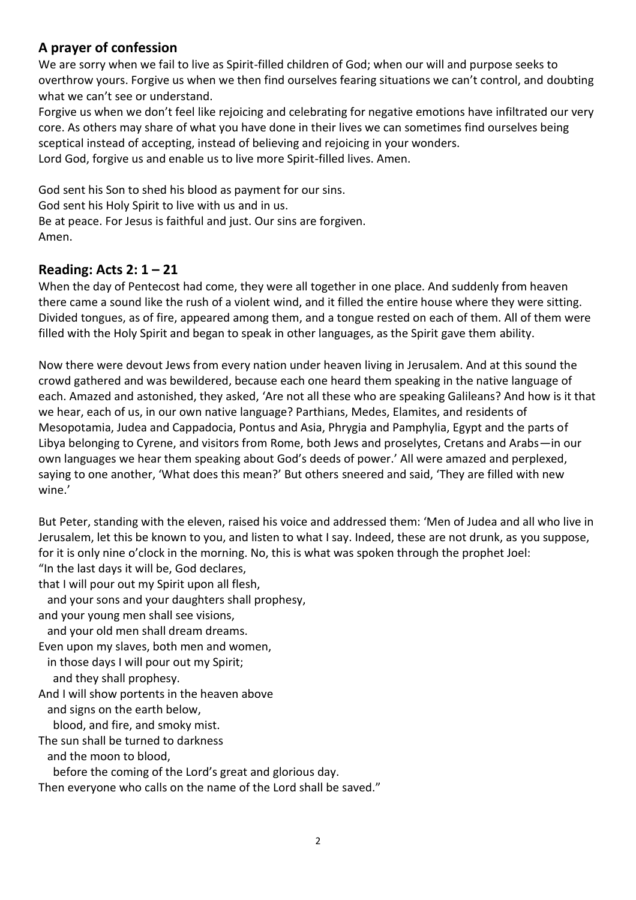### **A prayer of confession**

We are sorry when we fail to live as Spirit-filled children of God; when our will and purpose seeks to overthrow yours. Forgive us when we then find ourselves fearing situations we can't control, and doubting what we can't see or understand.

Forgive us when we don't feel like rejoicing and celebrating for negative emotions have infiltrated our very core. As others may share of what you have done in their lives we can sometimes find ourselves being sceptical instead of accepting, instead of believing and rejoicing in your wonders. Lord God, forgive us and enable us to live more Spirit-filled lives. Amen.

God sent his Son to shed his blood as payment for our sins. God sent his Holy Spirit to live with us and in us. Be at peace. For Jesus is faithful and just. Our sins are forgiven. Amen.

### **Reading: Acts 2: 1 – 21**

When the day of Pentecost had come, they were all together in one place. And suddenly from heaven there came a sound like the rush of a violent wind, and it filled the entire house where they were sitting. Divided tongues, as of fire, appeared among them, and a tongue rested on each of them. All of them were filled with the Holy Spirit and began to speak in other languages, as the Spirit gave them ability.

Now there were devout Jews from every nation under heaven living in Jerusalem. And at this sound the crowd gathered and was bewildered, because each one heard them speaking in the native language of each. Amazed and astonished, they asked, 'Are not all these who are speaking Galileans? And how is it that we hear, each of us, in our own native language? Parthians, Medes, Elamites, and residents of Mesopotamia, Judea and Cappadocia, Pontus and Asia, Phrygia and Pamphylia, Egypt and the parts of Libya belonging to Cyrene, and visitors from Rome, both Jews and proselytes, Cretans and Arabs—in our own languages we hear them speaking about God's deeds of power.' All were amazed and perplexed, saying to one another, 'What does this mean?' But others sneered and said, 'They are filled with new wine.'

But Peter, standing with the eleven, raised his voice and addressed them: 'Men of Judea and all who live in Jerusalem, let this be known to you, and listen to what I say. Indeed, these are not drunk, as you suppose, for it is only nine o'clock in the morning. No, this is what was spoken through the prophet Joel:

"In the last days it will be, God declares,

that I will pour out my Spirit upon all flesh,

and your sons and your daughters shall prophesy,

and your young men shall see visions,

and your old men shall dream dreams.

Even upon my slaves, both men and women,

 in those days I will pour out my Spirit; and they shall prophesy.

And I will show portents in the heaven above

and signs on the earth below,

blood, and fire, and smoky mist.

The sun shall be turned to darkness

and the moon to blood,

before the coming of the Lord's great and glorious day.

Then everyone who calls on the name of the Lord shall be saved."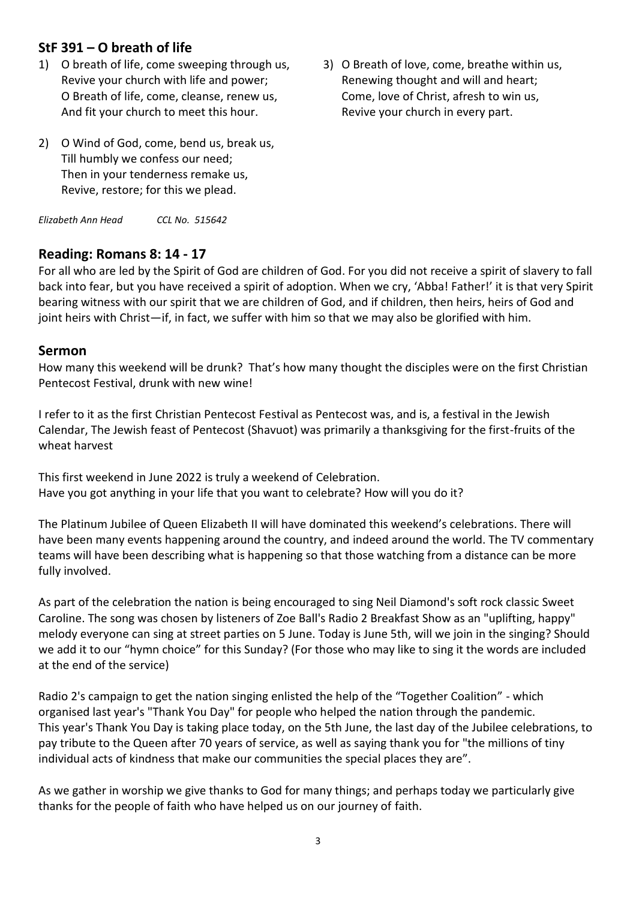### **StF 391 – O breath of life**

- 1) O breath of life, come sweeping through us, Revive your church with life and power; O Breath of life, come, cleanse, renew us, And fit your church to meet this hour.
- 3) O Breath of love, come, breathe within us, Renewing thought and will and heart; Come, love of Christ, afresh to win us, Revive your church in every part.
- 2) O Wind of God, come, bend us, break us, Till humbly we confess our need; Then in your tenderness remake us, Revive, restore; for this we plead.

*Elizabeth Ann Head CCL No. 515642*

#### **Reading: Romans 8: 14 - 17**

For all who are led by the Spirit of God are children of God. For you did not receive a spirit of slavery to fall back into fear, but you have received a spirit of adoption. When we cry, 'Abba! Father!' it is that very Spirit bearing witness with our spirit that we are children of God, and if children, then heirs, heirs of God and joint heirs with Christ—if, in fact, we suffer with him so that we may also be glorified with him.

#### **Sermon**

How many this weekend will be drunk? That's how many thought the disciples were on the first Christian Pentecost Festival, drunk with new wine!

I refer to it as the first Christian Pentecost Festival as Pentecost was, and is, a festival in the Jewish Calendar, The Jewish feast of Pentecost (Shavuot) was primarily a thanksgiving for the first-fruits of the wheat harvest

This first weekend in June 2022 is truly a weekend of Celebration. Have you got anything in your life that you want to celebrate? How will you do it?

The Platinum Jubilee of Queen Elizabeth II will have dominated this weekend's celebrations. There will have been many events happening around the country, and indeed around the world. The TV commentary teams will have been describing what is happening so that those watching from a distance can be more fully involved.

As part of the celebration the nation is being encouraged to sing Neil Diamond's soft rock classic Sweet Caroline. The song was chosen by listeners of Zoe Ball's Radio 2 Breakfast Show as an "uplifting, happy" melody everyone can sing at street parties on 5 June. Today is June 5th, will we join in the singing? Should we add it to our "hymn choice" for this Sunday? (For those who may like to sing it the words are included at the end of the service)

Radio 2's campaign to get the nation singing enlisted the help of the "Together Coalition" - which organised last year's "Thank You Day" for people who helped the nation through the pandemic. This year's Thank You Day is taking place today, on the 5th June, the last day of the Jubilee celebrations, to pay tribute to the Queen after 70 years of service, as well as saying thank you for "the millions of tiny individual acts of kindness that make our communities the special places they are".

As we gather in worship we give thanks to God for many things; and perhaps today we particularly give thanks for the people of faith who have helped us on our journey of faith.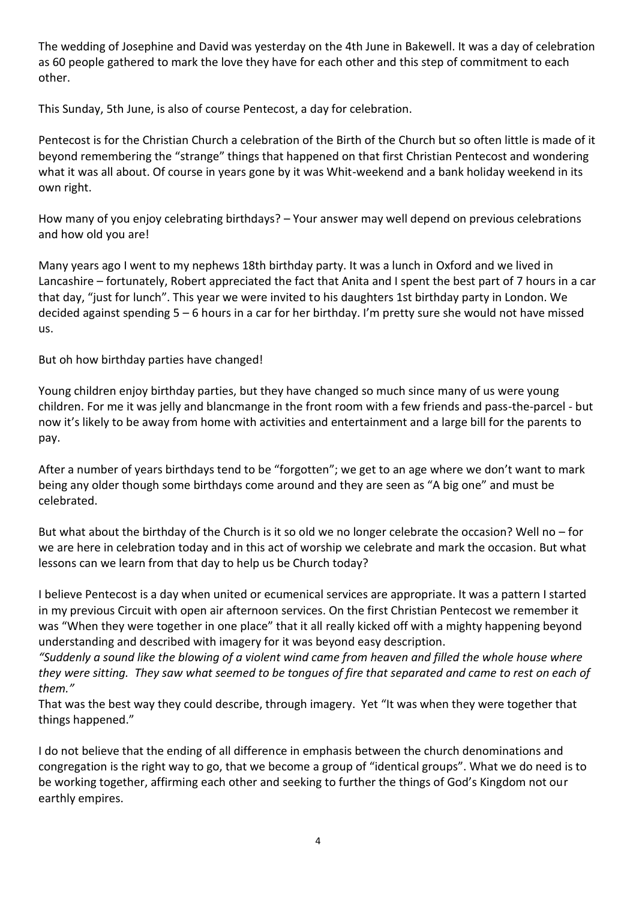The wedding of Josephine and David was yesterday on the 4th June in Bakewell. It was a day of celebration as 60 people gathered to mark the love they have for each other and this step of commitment to each other.

This Sunday, 5th June, is also of course Pentecost, a day for celebration.

Pentecost is for the Christian Church a celebration of the Birth of the Church but so often little is made of it beyond remembering the "strange" things that happened on that first Christian Pentecost and wondering what it was all about. Of course in years gone by it was Whit-weekend and a bank holiday weekend in its own right.

How many of you enjoy celebrating birthdays? – Your answer may well depend on previous celebrations and how old you are!

Many years ago I went to my nephews 18th birthday party. It was a lunch in Oxford and we lived in Lancashire – fortunately, Robert appreciated the fact that Anita and I spent the best part of 7 hours in a car that day, "just for lunch". This year we were invited to his daughters 1st birthday party in London. We decided against spending 5 – 6 hours in a car for her birthday. I'm pretty sure she would not have missed us.

But oh how birthday parties have changed!

Young children enjoy birthday parties, but they have changed so much since many of us were young children. For me it was jelly and blancmange in the front room with a few friends and pass-the-parcel - but now it's likely to be away from home with activities and entertainment and a large bill for the parents to pay.

After a number of years birthdays tend to be "forgotten"; we get to an age where we don't want to mark being any older though some birthdays come around and they are seen as "A big one" and must be celebrated.

But what about the birthday of the Church is it so old we no longer celebrate the occasion? Well no – for we are here in celebration today and in this act of worship we celebrate and mark the occasion. But what lessons can we learn from that day to help us be Church today?

I believe Pentecost is a day when united or ecumenical services are appropriate. It was a pattern I started in my previous Circuit with open air afternoon services. On the first Christian Pentecost we remember it was "When they were together in one place" that it all really kicked off with a mighty happening beyond understanding and described with imagery for it was beyond easy description.

*"Suddenly a sound like the blowing of a violent wind came from heaven and filled the whole house where they were sitting. They saw what seemed to be tongues of fire that separated and came to rest on each of them."*

That was the best way they could describe, through imagery. Yet "It was when they were together that things happened."

I do not believe that the ending of all difference in emphasis between the church denominations and congregation is the right way to go, that we become a group of "identical groups". What we do need is to be working together, affirming each other and seeking to further the things of God's Kingdom not our earthly empires.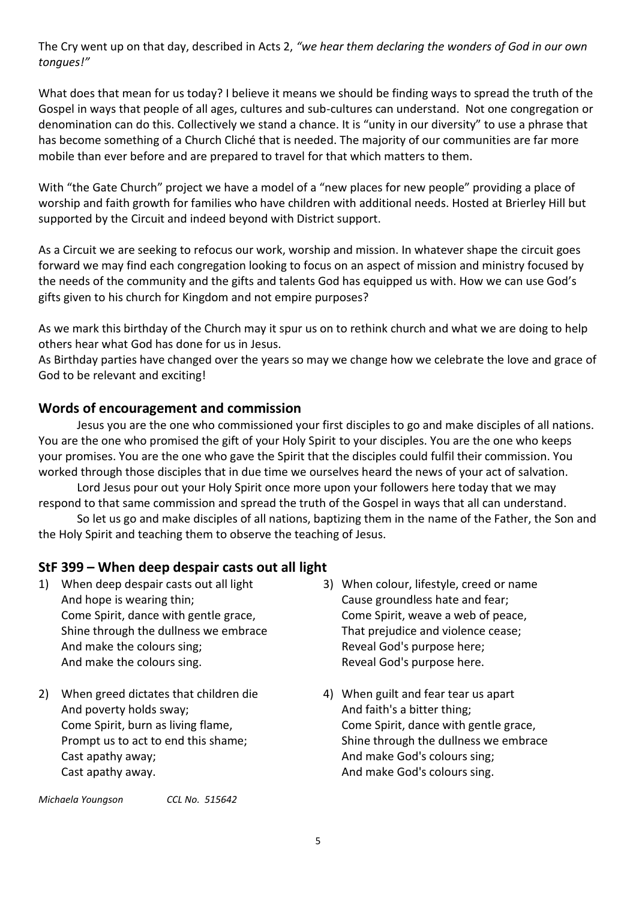The Cry went up on that day, described in Acts 2, *"we hear them declaring the wonders of God in our own tongues!"*

What does that mean for us today? I believe it means we should be finding ways to spread the truth of the Gospel in ways that people of all ages, cultures and sub-cultures can understand. Not one congregation or denomination can do this. Collectively we stand a chance. It is "unity in our diversity" to use a phrase that has become something of a Church Cliché that is needed. The majority of our communities are far more mobile than ever before and are prepared to travel for that which matters to them.

With "the Gate Church" project we have a model of a "new places for new people" providing a place of worship and faith growth for families who have children with additional needs. Hosted at Brierley Hill but supported by the Circuit and indeed beyond with District support.

As a Circuit we are seeking to refocus our work, worship and mission. In whatever shape the circuit goes forward we may find each congregation looking to focus on an aspect of mission and ministry focused by the needs of the community and the gifts and talents God has equipped us with. How we can use God's gifts given to his church for Kingdom and not empire purposes?

As we mark this birthday of the Church may it spur us on to rethink church and what we are doing to help others hear what God has done for us in Jesus.

As Birthday parties have changed over the years so may we change how we celebrate the love and grace of God to be relevant and exciting!

### **Words of encouragement and commission**

Jesus you are the one who commissioned your first disciples to go and make disciples of all nations. You are the one who promised the gift of your Holy Spirit to your disciples. You are the one who keeps your promises. You are the one who gave the Spirit that the disciples could fulfil their commission. You worked through those disciples that in due time we ourselves heard the news of your act of salvation.

Lord Jesus pour out your Holy Spirit once more upon your followers here today that we may respond to that same commission and spread the truth of the Gospel in ways that all can understand.

So let us go and make disciples of all nations, baptizing them in the name of the Father, the Son and the Holy Spirit and teaching them to observe the teaching of Jesus.

### **StF 399 – When deep despair casts out all light**

- 1) When deep despair casts out all light And hope is wearing thin; Come Spirit, dance with gentle grace, Shine through the dullness we embrace And make the colours sing; And make the colours sing.
- 2) When greed dictates that children die And poverty holds sway; Come Spirit, burn as living flame, Prompt us to act to end this shame; Cast apathy away; Cast apathy away.

*Michaela Youngson CCL No. 515642*

- 3) When colour, lifestyle, creed or name Cause groundless hate and fear; Come Spirit, weave a web of peace, That prejudice and violence cease; Reveal God's purpose here; Reveal God's purpose here.
- 4) When guilt and fear tear us apart And faith's a bitter thing; Come Spirit, dance with gentle grace, Shine through the dullness we embrace And make God's colours sing; And make God's colours sing.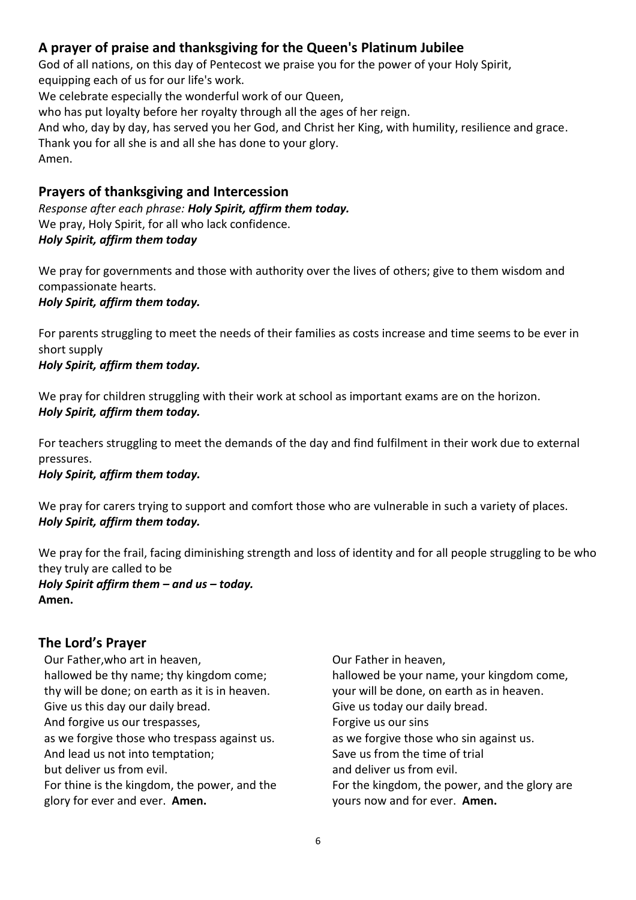# **A prayer of praise and thanksgiving for the Queen's Platinum Jubilee**

God of all nations, on this day of Pentecost we praise you for the power of your Holy Spirit, equipping each of us for our life's work.

We celebrate especially the wonderful work of our Queen,

who has put loyalty before her royalty through all the ages of her reign.

And who, day by day, has served you her God, and Christ her King, with humility, resilience and grace. Thank you for all she is and all she has done to your glory. Amen.

### **Prayers of thanksgiving and Intercession**

*Response after each phrase: Holy Spirit, affirm them today.* We pray, Holy Spirit, for all who lack confidence. *Holy Spirit, affirm them today*

We pray for governments and those with authority over the lives of others; give to them wisdom and compassionate hearts. *Holy Spirit, affirm them today.*

For parents struggling to meet the needs of their families as costs increase and time seems to be ever in short supply

*Holy Spirit, affirm them today.*

We pray for children struggling with their work at school as important exams are on the horizon. *Holy Spirit, affirm them today.*

For teachers struggling to meet the demands of the day and find fulfilment in their work due to external pressures.

#### *Holy Spirit, affirm them today.*

We pray for carers trying to support and comfort those who are vulnerable in such a variety of places. *Holy Spirit, affirm them today.*

We pray for the frail, facing diminishing strength and loss of identity and for all people struggling to be who they truly are called to be *Holy Spirit affirm them – and us – today.*

**Amen.**

### **The Lord's Prayer**

Our Father,who art in heaven, hallowed be thy name; thy kingdom come; thy will be done; on earth as it is in heaven. Give us this day our daily bread. And forgive us our trespasses, as we forgive those who trespass against us. And lead us not into temptation; but deliver us from evil. For thine is the kingdom, the power, and the glory for ever and ever. **Amen.**

Our Father in heaven, hallowed be your name, your kingdom come, your will be done, on earth as in heaven. Give us today our daily bread. Forgive us our sins as we forgive those who sin against us. Save us from the time of trial and deliver us from evil. For the kingdom, the power, and the glory are yours now and for ever. **Amen.**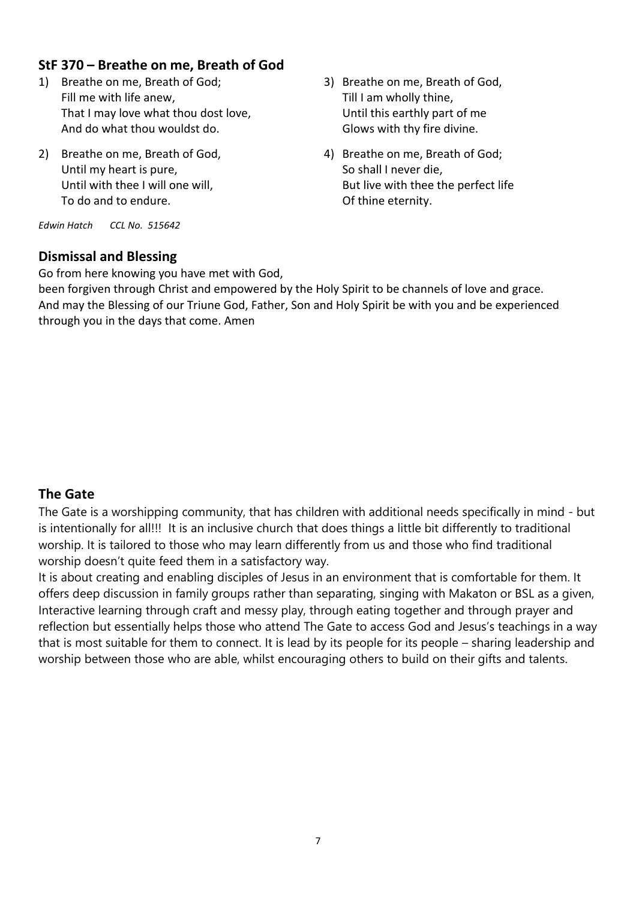### **StF 370 – Breathe on me, Breath of God**

- 1) Breathe on me, Breath of God; Fill me with life anew, That I may love what thou dost love, And do what thou wouldst do.
- 2) Breathe on me, Breath of God, Until my heart is pure, Until with thee I will one will, To do and to endure.

*Edwin Hatch CCL No. 515642*

### **Dismissal and Blessing**

Go from here knowing you have met with God,

3) Breathe on me, Breath of God, Till I am wholly thine, Until this earthly part of me Glows with thy fire divine.

4) Breathe on me, Breath of God; So shall I never die, But live with thee the perfect life Of thine eternity.

been forgiven through Christ and empowered by the Holy Spirit to be channels of love and grace. And may the Blessing of our Triune God, Father, Son and Holy Spirit be with you and be experienced through you in the days that come. Amen

### **The Gate**

The Gate is a worshipping community, that has children with additional needs specifically in mind - but is intentionally for all!!! It is an inclusive church that does things a little bit differently to traditional worship. It is tailored to those who may learn differently from us and those who find traditional worship doesn't quite feed them in a satisfactory way.

It is about creating and enabling disciples of Jesus in an environment that is comfortable for them. It offers deep discussion in family groups rather than separating, singing with Makaton or BSL as a given, Interactive learning through craft and messy play, through eating together and through prayer and reflection but essentially helps those who attend The Gate to access God and Jesus's teachings in a way that is most suitable for them to connect. It is lead by its people for its people – sharing leadership and worship between those who are able, whilst encouraging others to build on their gifts and talents.